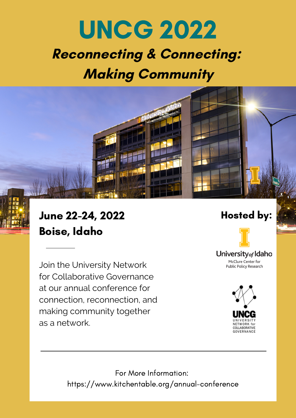# **Reconnecting & Connecting: Making Community** UNCG 2022

## June 22-24, 2022 Hosted by: Boise, Idaho

Join the University Network for Collaborative Governance at our annual conference for connection, reconnection, and making community together as a network.



University<sub>of</sub> Idaho McClure Center for Public Policy Research



For More Information: https://www.kitchentable.org/annual-conference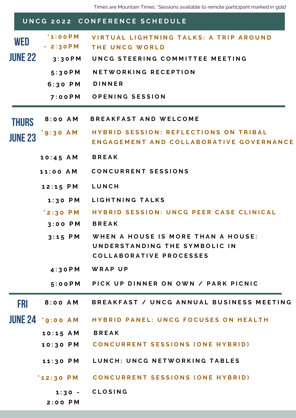### **THURS JUNE23 FRI JUNE 24** \* 9:00 AM **WED JUNE22** UNCG 2022 CONFERENCE SCHEDULE **\* 1 : 0 0 P M - 2 : 3 0 P M** VIRTUAL LIGHTNING TALKS: A TRIP AROUND **T H E U N C G W O R L D 7 : 0 0 P M O P E N I N G S E S S I O N 5 : 3 0 P M N E T W O R K I N G R E C E P T I O N 1 2 : 1 5 P M L U N C H 4 : 3 0 P M W R A P U P** 8:00 AM BREAKFAST / UNCG ANNUAL BUSINESS MEETING **8 : 0 0 A M B R E A K F A S T A N D W E L C O M E 6 : 3 0 P M D I N N E R** 5:00PM PICK UP DINNER ON OWN / PARK PICNIC \*9:30 AM HYBRID SESSION: REFLECTIONS ON TRIBAL **ENGAGEMENT AND COLLABORATIVE GOVERNANCE 1 : 3 0 P M L I G H T N I N G T A L K S** HYBRID PANEL: UNCG FOCUSES ON HEALTH **1 0 : 1 5 A M B R E A K** 11:30 PM LUNCH: UNCG NETWORKING TABLES 3:30PM UNCG STEERING COMMITTEE MEETING **1 0 : 4 5 A M B R E A K 1 1 : 0 0 A M C O N C U R R E N T S E S S I O N S** \*2:30 PM HYBRID SESSION: UNCG PEER CASE CLINICAL 3:15 PM WHEN A HOUSE IS MORE THAN A HOUSE: UNDERSTANDING THE SYMBOLIC IN **C O L L A B O R A T I V E P R O C E S S E S 3 : 0 0 P M B R E A K** 10:30 PM CONCURRENT SESSIONS (ONE HYBRID) \*12:30 PM CONCURRENT SESSIONS (ONE HYBRID) **1 : 3 0 - 2 : 0 0 P M C L O S I N G**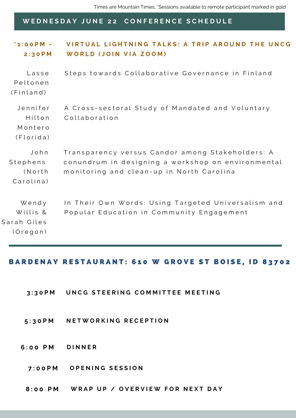### WEDNESDAY JUNE 22 CONFERENCE SCHEDULE

| $i$ 1:00 PM -<br>2:30PM                      | VIRTUAL LIGHTNING TALKS: A TRIP AROUND THE UNCG<br>WORLD (JOIN VIA ZOOM)                                                                            |
|----------------------------------------------|-----------------------------------------------------------------------------------------------------------------------------------------------------|
| Lasse<br>Peltonen<br>(Finland)               | Steps towards Collaborative Governance in Finland                                                                                                   |
| Jennifer<br>Hilton<br>Montero<br>(Florida)   | A Cross-sectoral Study of Mandated and Voluntary<br>Collaboration                                                                                   |
| John<br>Stephens<br>(North<br>Carolina)      | Transparency versus Candor among Stakeholders: A<br>conundrum in designing a workshop on environmental<br>monitoring and clean-up in North Carolina |
| Wendy<br>Willis &<br>Sarah Giles<br>(Oregon) | In Their Own Words: Using Targeted Universalism and<br>Popular Education in Community Engagement                                                    |

### BARDENAY RESTAURANT: 610 W GROVE ST BOISE, ID 83702

- 3:30PM UNCG STEERING COMMITTEE MEETING
- **5 : 3 0 P M N E T W O R K I N G R E C E P T I O N**
- **6 : 0 0 P M D I N N E R**
	- **7 : 0 0 P M O P E N I N G S E S S I O N**
	- 8:00 PM WRAP UP / OVERVIEW FOR NEXT DAY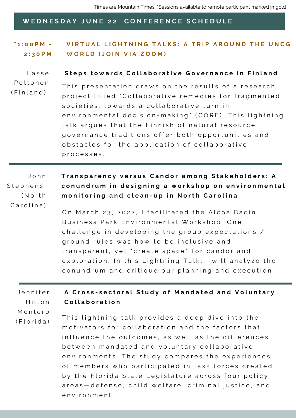### WEDNESDAY JUNE 22 CONFERENCE SCHEDULE

**\* 1 : 0 0 P M - 2 : 3 0 P M** VIRTUAL LIGHTNING TALKS: A TRIP AROUND THE UNCG **W O R L D ( J O I N V I A Z O O M )**

#### L a s s e Steps towards Collaborative Governance in Finland

P e l t o n e n  $(Finland)$ This presentation draws on the results of a research project titled "Collaborative remedies for fragmented societies: towards a collaborative turn in environmental decision-making" (CORE). This lightning talk argues that the Finnish of natural resource governance traditions offer both opportunities and obstacles for the application of collaborative processes.

J o h n S t e p h e n s ( N o r t h  $C$  arolina)

Transparency versus Candor among Stakeholders: A conundrum in designing a workshop on environmental monitoring and clean-up in North Carolina

On March 23, 2022, I facilitated the Alcoa Badin Business Park Environmental Workshop. One challenge in developing the group expectations / ground rules was how to be inclusive and transparent, yet "create space" for candor and exploration. In this Lightning Talk, I will analyze the conundrum and critique our planning and execution.

#### J e n n i f e r Hilton M o n t e r o A Cross-sectoral Study of Mandated and Voluntary **C o l l a b o r a t i o n**

 $(Florida)$ This lightning talk provides a deep dive into the motivators for collaboration and the factors that influence the outcomes, as well as the differences between mandated and voluntary collaborative environments. The study compares the experiences of members who participated in task forces created by the Florida State Legislature across four policy areas - defense, child welfare, criminal justice, and e n v i r o n m e n t .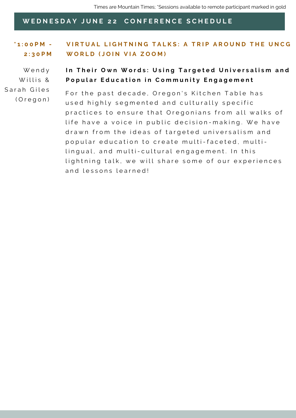### WEDNESDAY JUNE 22 CONFERENCE SCHEDULE

and lessons learned!

**\* 1 : 0 0 P M - 2 : 3 0 P M** VIRTUAL LIGHTNING TALKS: A TRIP AROUND THE UNCG **W O R L D ( J O I N V I A Z O O M )** For the past decade, Oregon's Kitchen Table has W e n d y Willis & Sarah Giles In Their Own Words: Using Targeted Universalism and Popular Education in Community Engagement

> practices to ensure that Oregonians from all walks of life have a voice in public decision-making. We have

> lightning talk, we will share some of our experiences

drawn from the ideas of targeted universalism and popular education to create multi-faceted, multi-

lingual, and multi-cultural engagement. In this

used highly segmented and culturally specific ( O r e g o n )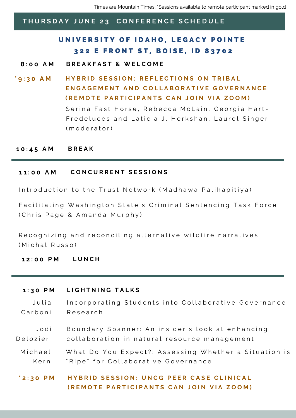Times are Mountain Times; \*Sessions available to remote participant marked in gold

### THURSDAY JUNE 23 CONFERENCE SCHEDULE

### U[N](https://www.uidaho.edu/boise/event-planning/legacy-pointe)IVERSITY OF IDAHO, LEGACY POINTE 322 E FRONT ST, BOISE, ID 83702

- **8 : 0 0 A M B R E A K F A S T & W E L C O M E**
- Serina Fast Horse, Rebecca McLain, Georgia Hart-Fredeluces and Laticia J. Herkshan, Laurel Singer ( m o d e r a t o r ) \*9:30 AM HYBRID SESSION: REFLECTIONS ON TRIBAL **ENGAGEMENT AND COLLABORATIVE GOVERNANCE** (REMOTE PARTICIPANTS CAN JOIN VIA ZOOM)

### **1 0 : 4 5 A M B R E A K**

### **1 1 : 0 0 A M C O N C U R R E N T S E S S I O N S**

Introduction to the Trust Network (Madhawa Palihapitiya)

Facilitating Washington State's Criminal Sentencing Task Force ( Chris Page & A m and a Murphy )

Recognizing and reconciling alternative wildfire narratives (Michal Russo)

### **1 2 : 0 0 P M L U N C H**

### **1 : 3 0 P M L I G H T N I N G T A L K S**

J u l i a C a r b o n i Incorporating Students into Collaborative Governance R e s e a r c h

J o d i D e l o z i e r Boundary Spanner: An insider's look at enhancing collaboration in natural resource management

M i c h a e l K e r n What Do You Expect?: Assessing Whether a Situation is "Ripe" for Collaborative Governance

\*2:30 PM HYBRID SESSION: UNCG PEER CASE CLINICAL (REMOTE PARTICIPANTS CAN JOIN VIA ZOOM)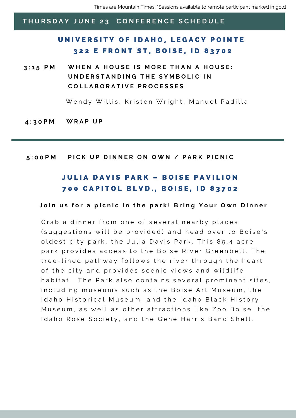### U[N](https://www.uidaho.edu/boise/event-planning/legacy-pointe)IVERSITY OF IDAHO, LEGACY POINTE 322 E FRONT ST, BOISE, ID 83702

3:15 PM WHEN A HOUSE IS MORE THAN A HOUSE: UNDERSTANDING THE SYMBOLIC IN **C O L L A B O R A T I V E P R O C E S S E S**

Wendy Willis, Kristen Wright, Manuel Padilla

**4 : 3 0 P M W R A P U P**

### 5:00PM PICK UP DINNER ON OWN / PARK PICNIC

### JULIA DAVIS PARK - BOISE PAVILIO[N](https://www.uidaho.edu/boise/event-planning/legacy-pointe) 700 CAPIT[O](https://www.uidaho.edu/boise/event-planning/legacy-pointe)L BLVD., BOISE, ID 83702

### Join us for a picnic in the park! Bring Your Own Dinner

Grab a dinner from one of several nearby places (suggestions will be provided) and head over to Boise's oldest city park, the Julia Davis Park. This 89.4 acre park provides access to the Boise River Greenbelt. The tree-lined pathway follows the river through the heart of the city and provides scenic views and wildlife habitat. The Park also contains several prominent sites, including museums such as the Boise Art Museum, the I daho Historical Museum, and the I daho Black History Museum, as well as other attractions like Zoo Boise, the Idaho Rose Society, and the Gene Harris Band Shell.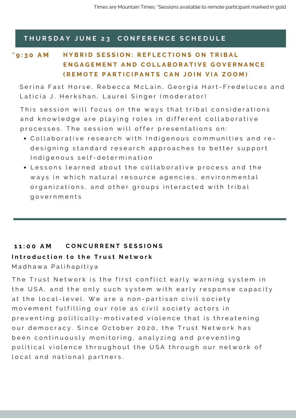### \*9:30 AM HYBRID SESSION: REFLECTIONS ON TRIBAL **ENGAGEMENT AND COLLABORATIVE GOVERNANCE** (REMOTE PARTICIPANTS CAN JOIN VIA ZOOM)

Serina Fast Horse, Rebecca McLain, Georgia Hart-Fredeluces and Laticia J. Herkshan, Laurel Singer (moderator)

This session will focus on the ways that tribal considerations and knowledge are playing roles in different collaborative processes. The session will offer presentations on:

- Collaborative research with Indigenous communities and redesigning standard research approaches to better support Indigenous self-determination
- Lessons learned about the collaborative process and the ways in which natural resource agencies, environmental organizations, and other groups interacted with tribal g o v e r n m e n t s

### 11:00 AM CONCURRENT SESSIONS

### Introduction to the Trust Network

Madhawa Palihapitiya

The Trust Network is the first conflict early warning system in the USA, and the only such system with early response capacity at the local-level. We are a non-partisan civil society movement fulfilling our role as civil society actors in preventing politically-motivated violence that is threatening our democracy. Since October 2020, the Trust Network has been continuously monitoring, analyzing and preventing political violence throughout the USA through our network of local and national partners.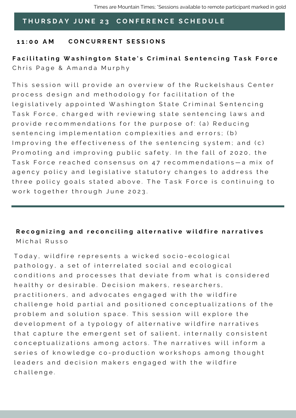### **1 1 : 0 0 A M C O N C U R R E N T S E S S I O N S**

### Facilitating Washington State's Criminal Sentencing Task Force Chris Page & Amanda Murphy

This session will provide an overview of the Ruckelshaus Center process design and methodology for facilitation of the legislatively appointed Washington State Criminal Sentencing Task Force, charged with reviewing state sentencing laws and provide recommendations for the purpose of: (a) Reducing sentencing implementation complexities and errors; (b) Improving the effectiveness of the sentencing system; and (c) Promoting and improving public safety. In the fall of 2020, the Task Force reached consensus on 47 recommendations-a mix of agency policy and legislative statutory changes to address the three policy goals stated above. The Task Force is continuing to work together through June 2023.

### Recognizing and reconciling alternative wildfire narratives Michal Russo

Today, wild fire represents a wicked socio-ecological pathology, a set of interrelated social and ecological conditions and processes that deviate from what is considered healthy or desirable. Decision makers, researchers, practitioners, and advocates engaged with the wildfire challenge hold partial and positioned conceptualizations of the problem and solution space. This session will explore the development of a typology of alternative wildfire narratives that capture the emergent set of salient, internally consistent conceptualizations among actors. The narratives will inform a series of knowledge co-production workshops among thought leaders and decision makers engaged with the wildfire challenge.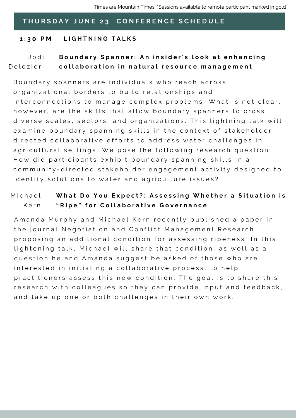### **1 : 3 0 P M L I G H T N I N G T A L K S**

#### J o d i D e l o z i e r Boundary Spanner: An insider's look at enhancing collaboration in natural resource management

Boundary spanners are individuals who reach across organizational borders to build relationships and interconnections to manage complex problems. What is not clear, however, are the skills that allow boundary spanners to cross diverse scales, sectors, and organizations. This lightning talk will examine boundary spanning skills in the context of stakeholderdirected collaborative efforts to address water challenges in agricultural settings. We pose the following research question: How did participants exhibit boundary spanning skills in a community-directed stakeholder engagement activity designed to identify solutions to water and agriculture issues?

#### M i c h a e l K e r n What Do You Expect?: Assessing Whether a Situation is "Ripe" for Collaborative Governance

A manda Murphy and Michael Kern recently published a paper in the journal Negotiation and Conflict Management Research proposing an additional condition for assessing ripeness. In this lightening talk, Michael will share that condition, as well as a question he and Amanda suggest be asked of those who are interested in initiating a collaborative process, to help practitioners assess this new condition. The goal is to share this research with colleagues so they can provide input and feedback, and take up one or both challenges in their own work.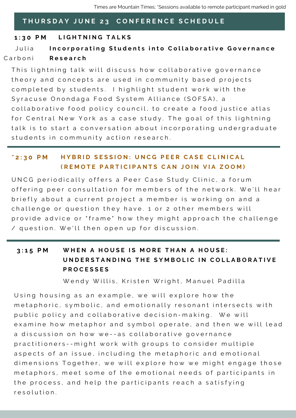### **1 : 3 0 P M L I G H T N I N G T A L K S**

Julia C a r b o n i Incorporating Students into Collaborative Governance **R e s e a r c h**

This lightning talk will discuss how collaborative governance theory and concepts are used in community based projects completed by students. I highlight student work with the Syracuse Onondaga Food System Alliance (SOFSA), a collaborative food policy council, to create a food justice atlas for Central New York as a case study. The goal of this lightning talk is to start a conversation about incorporating undergraduate students in community action research.

### \*2:30 PM HYBRID SESSION: UNCG PEER CASE CLINICAL (REMOTE PARTICIPANTS CAN JOIN VIA ZOOM)

UNCG periodically offers a Peer Case Study Clinic, a forum offering peer consultation for members of the network. We'll hear briefly about a current project a member is working on and a challenge or question they have. 1 or 2 other members will provide advice or "frame" how they might approach the challenge / question. We'll then open up for discussion.

### 3:15 PM WHEN A HOUSE IS MORE THAN A HOUSE: UNDERSTANDING THE SYMBOLIC IN COLLABORATIVE **P R O C E S S E S**

Wendy Willis, Kristen Wright, Manuel Padilla

Using housing as an example, we will explore how the metaphoric, symbolic, and emotionally resonant intersects with public policy and collaborative decision-making. We will examine how metaphor and symbol operate, and then we will lead a discussion on how we--as collaborative governance practitioners -- might work with groups to consider multiple aspects of an issue, including the metaphoric and emotional dimensions Together, we will explore how we might engage those metaphors, meet some of the emotional needs of participants in the process, and help the participants reach a satisfying r e s o l u t i o n .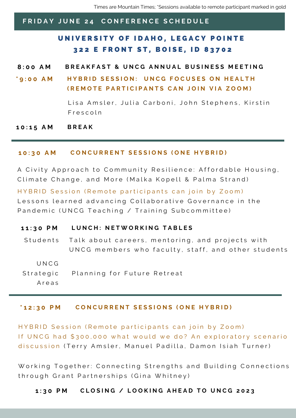Times are Mountain Times; \*Sessions available to remote participant marked in gold

### FRIDAY JUNE 24 CONFERENCE SCHEDULE

### U[N](https://www.uidaho.edu/boise/event-planning/legacy-pointe)IVERSITY OF IDAHO, LEGACY POINTE 322 E FRONT ST, BOISE, ID 83702

### 8:00 AM BREAKFAST & UNCG ANNUAL BUSINESS MEETING

### \*9:00 AM HYBRID SESSION: UNCG FOCUSES ON HEALTH (REMOTE PARTICIPANTS CAN JOIN VIA ZOOM)

Lisa Amsler, Julia Carboni, John Stephens, Kirstin F r e s c o l n

**1 0 : 1 5 A M B R E A K**

### 10:30 AM CONCURRENT SESSIONS (ONE HYBRID)

A Civity Approach to Community Resilience: Affordable Housing, Climate Change, and More (Malka Kopell & Palma Strand)

HYBRID Session (Remote participants can join by Zoom) Lessons learned advancing Collaborative Governance in the Pandemic (UNCG Teaching / Training Subcommittee)

### 11:30 PM LUNCH: NETWORKING TABLES

Talk about careers, mentoring, and projects with UNCG members who faculty, staff, and other students Students

U N C G

Planning for Future Retreat Strategic

A r e a s

### \*12:30 PM CONCURRENT SESSIONS (ONE HYBRID)

HYBRID Session (Remote participants can join by Zoom) If UNCG had \$300,000 what would we do? An exploratory scenario discussion (Terry Amsler, Manuel Padilla, Damon Isiah Turner)

Working Together: Connecting Strengths and Building Connections through Grant Partnerships (Gina Whitney)

### 1:30 PM CLOSING / LOOKING AHEAD TO UNCG 2023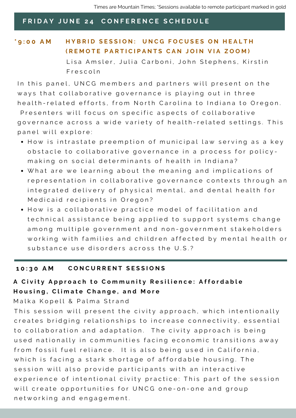### FRIDAY JUNE 24 CONFERENCE SCHEDULE

### \*9:00 AM HYBRID SESSION: UNCG FOCUSES ON HEALTH (REMOTE PARTICIPANTS CAN JOIN VIA ZOOM)

Lisa Amsler, Julia Carboni, John Stephens, Kirstin F r e s c o l n

In this panel, UNCG members and partners will present on the ways that collaborative governance is playing out in three health-related efforts, from North Carolina to Indiana to Oregon. Presenters will focus on specific aspects of collaborative governance across a wide variety of health-related settings. This panel will explore:

- How is intrastate preemption of municipal law serving as a key obstacle to collaborative governance in a process for policymaking on social determinants of health in Indiana?
- What are we learning about the meaning and implications of representation in collaborative governance contexts through an integrated delivery of physical mental, and dental health for Medicaid recipients in Oregon?
- $\bullet$  How is a collaborative practice model of facilitation and technical assistance being applied to support systems change among multiple government and non-government stakeholders working with families and children affected by mental health or substance use disorders across the U.S.?

### **1 0 : 3 0 A M C O N C U R R E N T S E S S I O N S**

### A Civity Approach to Community Resilience: Affordable Housing, Climate Change, and More

Malka Kopell & Palma Strand

This session will present the civity approach, which intentionally creates bridging relationships to increase connectivity, essential to collaboration and adaptation. The civity approach is being used nationally in communities facing economic transitions away from fossil fuel reliance. It is also being used in California, which is facing a stark shortage of affordable housing. The session will also provide participants with an interactive experience of intentional civity practice: This part of the session will create opportunities for UNCG one-on-one and group networking and engagement.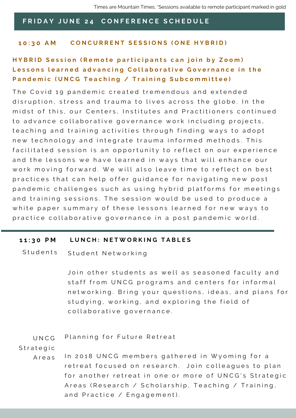### FRIDAY JUNE 24 CONFERENCE SCHEDULE

### 10:30 AM CONCURRENT SESSIONS (ONE HYBRID)

### HYBRID Session (Remote participants can join by Zoom) Lessons learned advancing Collaborative Governance in the Pandemic (UNCG Teaching / Training Subcommittee)

The Covid 19 pandemic created tremendous and extended disruption, stress and trauma to lives across the globe. In the midst of this, our Centers, Institutes and Practitioners continued to advance collaborative governance work including projects, teaching and training activities through finding ways to adopt new technology and integrate trauma informed methods. This facilitated session is an opportunity to reflect on our experience and the lessons we have learned in ways that will enhance our work moving forward. We will also leave time to reflect on best practices that can help offer guidance for navigating new post pandemic challenges such as using hybrid platforms for meetings and training sessions. The session would be used to produce a white paper summary of these lessons learned for new ways to practice collaborative governance in a post pandemic world.

### 11:30 PM LUNCH: NETWORKING TABLES

Student Networking **Students** 

> Join other students as well as seasoned faculty and staff from UNCG programs and centers for informal networking. Bring your questions, ideas, and plans for studying, working, and exploring the field of collaborative governance.

Planning for Future Retreat U N C G

**Strategic** 

In 2018 UNCG members gathered in Wyoming for a retreat focused on research. Join colleagues to plan for another retreat in one or more of UNCG's Strategic A reas (Research / Scholarship, Teaching / Training, and Practice / Engagement). A r e a s